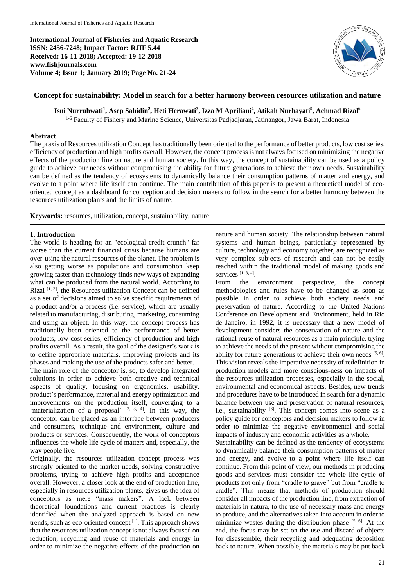**International Journal of Fisheries and Aquatic Research ISSN: 2456-7248; Impact Factor: RJIF 5.44 Received: 16-11-2018; Accepted: 19-12-2018 www.fishjournals.com Volume 4; Issue 1; January 2019; Page No. 21-24**



## **Concept for sustainability: Model in search for a better harmony between resources utilization and nature**

**Isni Nurruhwati<sup>1</sup> , Asep Sahidin<sup>2</sup> , Heti Herawati<sup>3</sup> , Izza M Apriliani<sup>4</sup> , Atikah Nurhayati<sup>5</sup> , Achmad Rizal<sup>6</sup>**

1-6 Faculty of Fishery and Marine Science, Universitas Padjadjaran, Jatinangor, Jawa Barat*,* Indonesia

#### **Abstract**

The praxis of Resources utilization Concept has traditionally been oriented to the performance of better products, low cost series, efficiency of production and high profits overall. However, the concept process is not always focused on minimizing the negative effects of the production line on nature and human society. In this way, the concept of sustainability can be used as a policy guide to achieve our needs without compromising the ability for future generations to achieve their own needs. Sustainability can be defined as the tendency of ecosystems to dynamically balance their consumption patterns of matter and energy, and evolve to a point where life itself can continue. The main contribution of this paper is to present a theoretical model of ecooriented concept as a dashboard for conception and decision makers to follow in the search for a better harmony between the resources utilization plants and the limits of nature.

**Keywords:** resources, utilization, concept, sustainability, nature

### **1. Introduction**

The world is heading for an "ecological credit crunch" far worse than the current financial crisis because humans are over-using the natural resources of the planet. The problem is also getting worse as populations and consumption keep growing faster than technology finds new ways of expanding what can be produced from the natural world. According to Rizal <sup>[1, 2]</sup>, the Resources utilization Concept can be defined as a set of decisions aimed to solve specific requirements of a product and/or a process (i.e. service), which are usually related to manufacturing, distributing, marketing, consuming and using an object. In this way, the concept process has traditionally been oriented to the performance of better products, low cost series, efficiency of production and high profits overall. As a result, the goal of the designer's work is to define appropriate materials, improving projects and its phases and making the use of the products safer and better.

The main role of the conceptor is, so, to develop integrated solutions in order to achieve both creative and technical aspects of quality, focusing on ergonomics, usability, product's performance, material and energy optimization and improvements on the production itself, converging to a 'materialization of a proposal'  $[2, 3, 4]$ . In this way, the conceptor can be placed as an interface between producers and consumers, technique and environment, culture and products or services. Consequently, the work of conceptors influences the whole life cycle of matters and, especially, the way people live.

Originally, the resources utilization concept process was strongly oriented to the market needs, solving constructive problems, trying to achieve high profits and acceptance overall. However, a closer look at the end of production line, especially in resources utilization plants, gives us the idea of conceptors as mere "mass makers". A lack between theoretical foundations and current practices is clearly identified when the analyzed approach is based on new trends, such as eco-oriented concept [1]. This approach shows that the resources utilization concept is not always focused on reduction, recycling and reuse of materials and energy in order to minimize the negative effects of the production on

nature and human society. The relationship between natural systems and human beings, particularly represented by culture, technology and economy together, are recognized as very complex subjects of research and can not be easily reached within the traditional model of making goods and services  $[1, 3, 4]$ .

From the environment perspective, the concept methodologies and rules have to be changed as soon as possible in order to achieve both society needs and preservation of nature. According to the United Nations Conference on Development and Environment, held in Rio de Janeiro, in 1992, it is necessary that a new model of development considers the conservation of nature and the rational reuse of natural resources as a main principle, trying to achieve the needs of the present without compromising the ability for future generations to achieve their own needs  $[5, 6]$ . This vision reveals the imperative necessity of redefinition in production models and more conscious-ness on impacts of the resources utilization processes, especially in the social, environmental and economical aspects. Besides, new trends and procedures have to be introduced in search for a dynamic balance between use and preservation of natural resources, i.e., sustainability <sup>[6]</sup>. This concept comes into scene as a policy guide for conceptors and decision makers to follow in order to minimize the negative environmental and social impacts of industry and economic activities as a whole.

Sustainability can be defined as the tendency of ecosystems to dynamically balance their consumption patterns of matter and energy, and evolve to a point where life itself can continue. From this point of view, our methods in producing goods and services must consider the whole life cycle of products not only from "cradle to grave" but from "cradle to cradle". This means that methods of production should consider all impacts of the production line, from extraction of materials in natura, to the use of necessary mass and energy to produce, and the alternatives taken into account in order to minimize wastes during the distribution phase  $[5, 6]$ . At the end, the focus may be set on the use and discard of objects for disassemble, their recycling and adequating deposition back to nature. When possible, the materials may be put back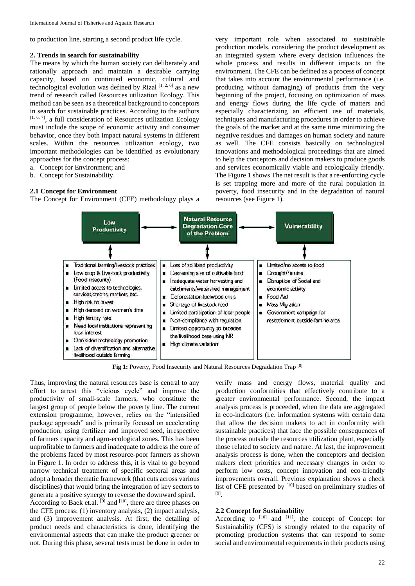to production line, starting a second product life cycle.

#### **2. Trends in search for sustainability**

The means by which the human society can deliberately and rationally approach and maintain a desirable carrying capacity, based on continued economic, cultural and technological evolution was defined by Rizal [1, 2, 6] as a new trend of research called Resources utilization Ecology. This method can be seen as a theoretical background to conceptors in search for sustainable practices. According to the authors  $[1, 6, 7]$ , a full consideration of Resources utilization Ecology must include the scope of economic activity and consumer behavior, once they both impact natural systems in different scales. Within the resources utilization ecology, two important methodologies can be identified as evolutionary approaches for the concept process:

- a. Concept for Environment; and
- b. Concept for Sustainability.

### **2.1 Concept for Environment**

The Concept for Environment (CFE) methodology plays a

very important role when associated to sustainable production models, considering the product development as an integrated system where every decision influences the whole process and results in different impacts on the environment. The CFE can be defined as a process of concept that takes into account the environmental performance (i.e. producing without damaging) of products from the very beginning of the project, focusing on optimization of mass and energy flows during the life cycle of matters and especially characterizing an efficient use of materials, techniques and manufacturing procedures in order to achieve the goals of the market and at the same time minimizing the negative residues and damages on human society and nature as well. The CFE consists basically on technological innovations and methodological proceedings that are aimed to help the conceptors and decision makers to produce goods and services economically viable and ecologically friendly. The Figure 1 shows The net result is that a re-enforcing cycle is set trapping more and more of the rural population in poverty, food insecurity and in the degradation of natural resources (see Figure 1).



**Fig 1:** Poverty, Food Insecurity and Natural Resources Degradation Trap [8]

Thus, improving the natural resources base is central to any effort to arrest this "vicious cycle" and improve the productivity of small-scale farmers, who constitute the largest group of people below the poverty line. The current extension programme, however, relies on the "intensified package approach" and is primarily focused on accelerating production, using fertilizer and improved seed, irrespective of farmers capacity and agro-ecological zones. This has been unprofitable to farmers and inadequate to address the core of the problems faced by most resource-poor farmers as shown in Figure 1. In order to address this, it is vital to go beyond narrow technical treatment of specific sectoral areas and adopt a broader thematic framework (that cuts across various disciplines) that would bring the integration of key sectors to generate a positive synergy to reverse the downward spiral.

According to Baek et.al. <sup>[9]</sup> and <sup>[10]</sup>, there are three phases on the CFE process: (1) inventory analysis, (2) impact analysis, and (3) improvement analysis. At first, the detailing of product needs and characteristics is done, identifying the environmental aspects that can make the product greener or not. During this phase, several tests must be done in order to

verify mass and energy flows, material quality and production conformities that effectively contribute to a greater environmental performance. Second, the impact analysis process is proceeded, when the data are aggregated in eco-indicators (i.e. information systems with certain data that allow the decision makers to act in conformity with sustainable practices) that face the possible consequences of the process outside the resources utilization plant, especially those related to society and nature. At last, the improvement analysis process is done, when the conceptors and decision makers elect priorities and necessary changes in order to perform low costs, concept innovation and eco-friendly improvements overall. Previous explanation shows a check list of CFE presented by [10] based on preliminary studies of [9] .

# **2.2 Concept for Sustainability**

According to  $[10]$  and  $[11]$ , the concept of Concept for Sustainability (CFS) is strongly related to the capacity of promoting production systems that can respond to some social and environmental requirements in their products using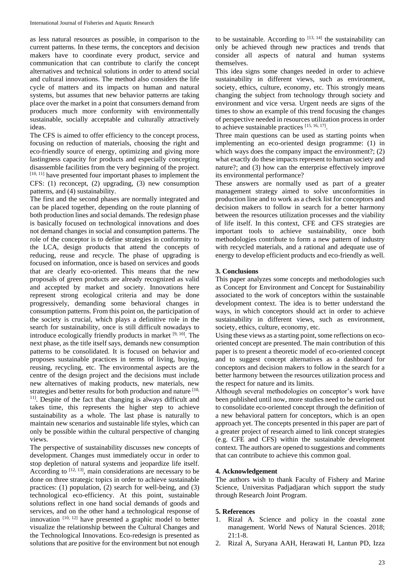as less natural resources as possible, in comparison to the current patterns. In these terms, the conceptors and decision makers have to coordinate every product, service and communication that can contribute to clarify the concept alternatives and technical solutions in order to attend social and cultural innovations. The method also considers the life cycle of matters and its impacts on human and natural systems, but assumes that new behavior patterns are taking place over the market in a point that consumers demand from producers much more conformity with environmentally sustainable, socially acceptable and culturally attractively ideas.

The CFS is aimed to offer efficiency to the concept process, focusing on reduction of materials, choosing the right and eco-friendly source of energy, optimizing and giving more lastingness capacity for products and especially concepting disassemble facilities from the very beginning of the project. [10, 11] have presented four important phases to implement the CFS: (1) reconcept, (2) upgrading, (3) new consumption patterns, and (4) sustainability.

The first and the second phases are normally integrated and can be placed together, depending on the route planning of both production lines and social demands. The redesign phase is basically focused on technological innovations and does not demand changes in social and consumption patterns. The role of the conceptor is to define strategies in conformity to the LCA, design products that attend the concepts of reducing, reuse and recycle. The phase of upgrading is focused on information, once is based on services and goods that are clearly eco-oriented. This means that the new proposals of green products are already recognized as valid and accepted by market and society. Innovations here represent strong ecological criteria and may be done progressively, demanding some behavioral changes in consumption patterns. From this point on, the participation of the society is crucial, which plays a definitive role in the search for sustainability, once is still difficult nowadays to introduce ecologically friendly products in market  $[9, 10]$ . The next phase, as the title itself says, demands new consumption patterns to be consolidated. It is focused on behavior and proposes sustainable practices in terms of living, buying, reusing, recycling, etc. The environmental aspects are the centre of the design project and the decisions must include new alternatives of making products, new materials, new strategies and better results for both production and nature [10, <sup>11]</sup>. Despite of the fact that changing is always difficult and takes time, this represents the higher step to achieve sustainability as a whole. The last phase is naturally to maintain new scenarios and sustainable life styles, which can only be possible within the cultural perspective of changing views.

The perspective of sustainability discusses new concepts of development. Changes must immediately occur in order to stop depletion of natural systems and jeopardize life itself. According to  $[12, 13]$ , main considerations are necessary to be done on three strategic topics in order to achieve sustainable practices: (1) population, (2) search for well-being, and (3) technological eco-efficiency. At this point, sustainable solutions reflect in one hand social demands of goods and services, and on the other hand a technological response of innovation  $[10, 12]$  have presented a graphic model to better visualize the relationship between the Cultural Changes and the Technological Innovations. Eco-redesign is presented as solutions that are positive for the environment but not enough

to be sustainable. According to  $[13, 14]$  the sustainability can only be achieved through new practices and trends that consider all aspects of natural and human systems themselves.

This idea signs some changes needed in order to achieve sustainability in different views, such as environment, society, ethics, culture, economy, etc. This strongly means changing the subject from technology through society and environment and vice versa. Urgent needs are signs of the times to show an example of this trend focusing the changes of perspective needed in resources utilization process in order to achieve sustainable practices [15, 16, 17].

Three main questions can be used as starting points when implementing an eco-oriented design programme: (1) in which ways does the company impact the environment?; (2) what exactly do these impacts represent to human society and nature?; and (3) how can the enterprise effectively improve its environmental performance?

These answers are normally used as part of a greater management strategy aimed to solve unconformities in production line and to work as a check list for conceptors and decision makers to follow in search for a better harmony between the resources utilization processes and the viability of life itself. In this context, CFE and CFS strategies are important tools to achieve sustainability, once both methodologies contribute to form a new pattern of industry with recycled materials, and a rational and adequate use of energy to develop efficient products and eco-friendly as well.

#### **3. Conclusions**

This paper analyzes some concepts and methodologies such as Concept for Environment and Concept for Sustainability associated to the work of conceptors within the sustainable development context. The idea is to better understand the ways, in which conceptors should act in order to achieve sustainability in different views, such as environment, society, ethics, culture, economy, etc.

Using these views as a starting point, some reflections on ecooriented concept are presented. The main contribution of this paper is to present a theoretic model of eco-oriented concept and to suggest concept alternatives as a dashboard for conceptors and decision makers to follow in the search for a better harmony between the resources utilization process and the respect for nature and its limits.

Although several methodologies on conceptor's work have been published until now, more studies need to be carried out to consolidate eco-oriented concept through the definition of a new behavioral pattern for conceptors, which is an open approach yet. The concepts presented in this paper are part of a greater project of research aimed to link concept strategies (e.g. CFE and CFS) within the sustainable development context. The authors are opened to suggestions and comments that can contribute to achieve this common goal.

#### **4. Acknowledgement**

The authors wish to thank Faculty of Fishery and Marine Science, Universitas Padjadjaran which support the study through Research Joint Program.

#### **5. References**

- 1. Rizal A. Science and policy in the coastal zone management. World News of Natural Sciences. 2018; 21:1-8.
- 2. Rizal A, Suryana AAH, Herawati H, Lantun PD, Izza